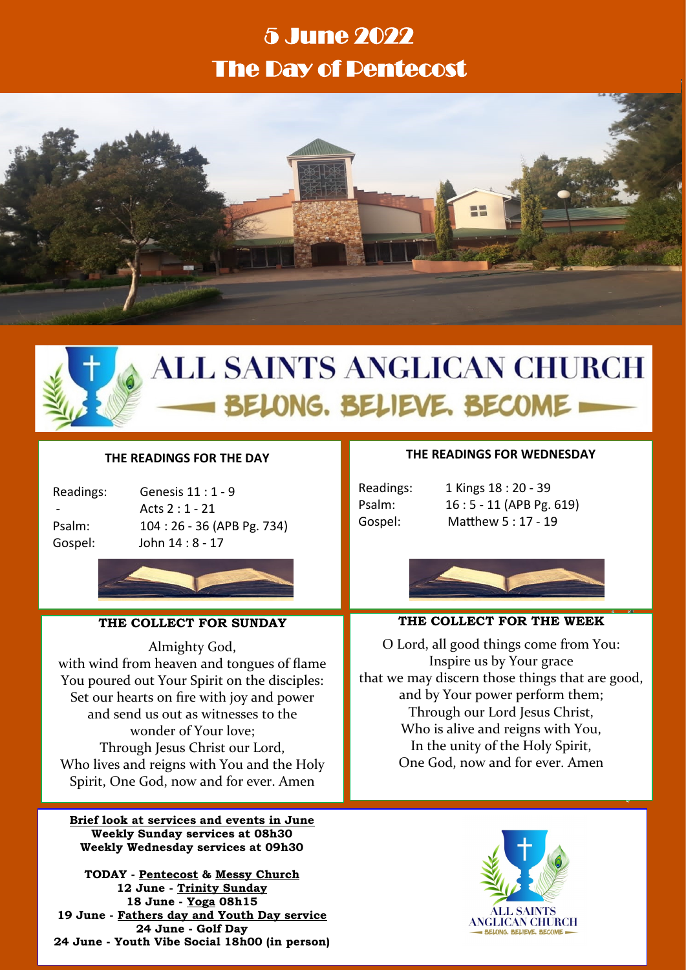# 5 June 2022 The Day of Pentecost





# **ALL SAINTS ANGLICAN CHURCH** BELONG. BELIEVE. BECOME =

# **THE READINGS FOR THE DAY**

| Readings: |
|-----------|
|           |
| Psalm:    |
| Gospel:   |

Genesis  $11 : 1 - 9$ - Acts 2 : 1 - 21 104 : 26 - 36 (APB Pg. 734) John 14 : 8 - 17



# **THE COLLECT FOR SUNDAY**

Almighty God,

with wind from heaven and tongues of flame You poured out Your Spirit on the disciples: Set our hearts on fire with joy and power and send us out as witnesses to the wonder of Your love; Through Jesus Christ our Lord, Who lives and reigns with You and the Holy Spirit, One God, now and for ever. Amen

**Brief look at services and events in June Weekly Sunday services at 08h30 Weekly Wednesday services at 09h30**

**TODAY - Pentecost & Messy Church 12 June - Trinity Sunday 18 June - Yoga 08h15 19 June - Fathers day and Youth Day service 24 June - Golf Day 24 June - Youth Vibe Social 18h00 (in person)**

## **THE READINGS FOR WEDNESDAY**

Readings: 1 Kings 18 : 20 - 39 Psalm: 16 : 5 - 11 (APB Pg. 619) Gospel: Matthew 5 : 17 - 19



# **THE COLLECT FOR THE WEEK**

O Lord, all good things come from You: Inspire us by Your grace that we may discern those things that are good, and by Your power perform them; Through our Lord Jesus Christ, Who is alive and reigns with You, In the unity of the Holy Spirit, One God, now and for ever. Amen